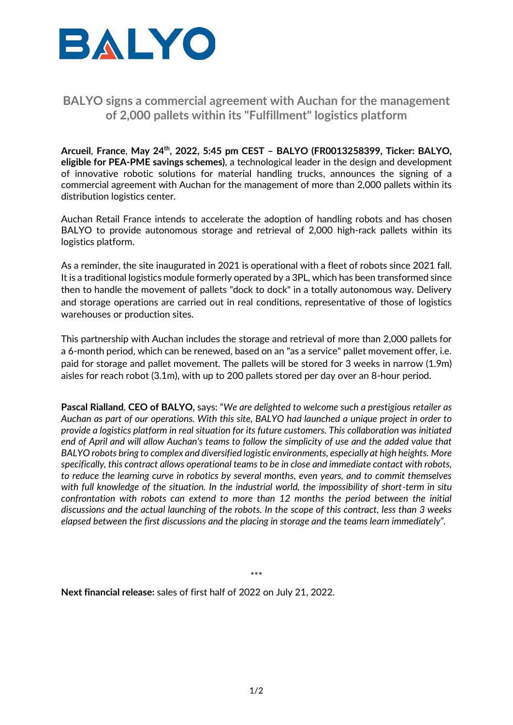

## **BALYO signs a commercial agreement with Auchan for the management of 2,000 pallets within its "Fulfillment" logistics platform**

**Arcueil**, **France**, **May 24th , 2022, 5:45 pm CEST – BALYO (FR0013258399, Ticker: BALYO, eligible for PEA-PME savings schemes)**, a technological leader in the design and development of innovative robotic solutions for material handling trucks, announces the signing of a commercial agreement with Auchan for the management of more than 2,000 pallets within its distribution logistics center.

Auchan Retail France intends to accelerate the adoption of handling robots and has chosen BALYO to provide autonomous storage and retrieval of 2,000 high-rack pallets within its logistics platform.

As a reminder, the site inaugurated in 2021 is operational with a fleet of robots since 2021 fall. It is a traditional logistics module formerly operated by a 3PL, which has been transformed since then to handle the movement of pallets "dock to dock" in a totally autonomous way. Delivery and storage operations are carried out in real conditions, representative of those of logistics warehouses or production sites.

This partnership with Auchan includes the storage and retrieval of more than 2,000 pallets for a 6-month period, which can be renewed, based on an "as a service" pallet movement offer, i.e. paid for storage and pallet movement. The pallets will be stored for 3 weeks in narrow (1.9m) aisles for reach robot (3.1m), with up to 200 pallets stored per day over an 8-hour period.

**Pascal Rialland**, **CEO of BALYO,** says: "*We are delighted to welcome such a prestigious retailer as Auchan as part of our operations. With this site, BALYO had launched a unique project in order to provide a logistics platform in real situation for its future customers. This collaboration was initiated end of April and will allow Auchan's teams to follow the simplicity of use and the added value that BALYO robots bring to complex and diversified logistic environments, especially at high heights. More specifically, this contract allows operational teams to be in close and immediate contact with robots, to reduce the learning curve in robotics by several months, even years, and to commit themselves with full knowledge of the situation. In the industrial world, the impossibility of short-term in situ confrontation with robots can extend to more than 12 months the period between the initial discussions and the actual launching of the robots. In the scope of this contract, less than 3 weeks elapsed between the first discussions and the placing in storage and the teams learn immediately".*

\*\*\*

**Next financial release:** sales of first half of 2022 on July 21, 2022.